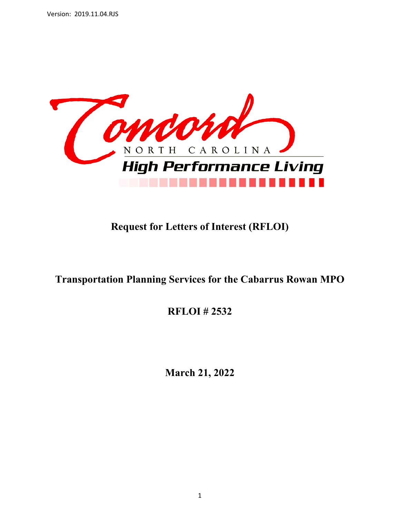

# **Request for Letters of Interest (RFLOI)**

# **Transportation Planning Services for the Cabarrus Rowan MPO**

**RFLOI # 2532** 

**March 21, 2022**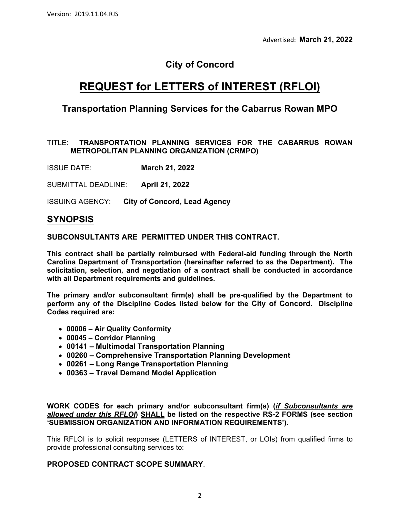# **City of Concord**

# **REQUEST for LETTERS of INTEREST (RFLOI)**

### **Transportation Planning Services for the Cabarrus Rowan MPO**

#### TITLE: **TRANSPORTATION PLANNING SERVICES FOR THE CABARRUS ROWAN METROPOLITAN PLANNING ORGANIZATION (CRMPO)**

ISSUE DATE: **March 21, 2022**

SUBMITTAL DEADLINE: **April 21, 2022**

ISSUING AGENCY: **City of Concord, Lead Agency**

### **SYNOPSIS**

**SUBCONSULTANTS ARE PERMITTED UNDER THIS CONTRACT.**

**This contract shall be partially reimbursed with Federal-aid funding through the North Carolina Department of Transportation (hereinafter referred to as the Department). The solicitation, selection, and negotiation of a contract shall be conducted in accordance with all Department requirements and guidelines.** 

**The primary and/or subconsultant firm(s) shall be pre-qualified by the Department to perform any of the Discipline Codes listed below for the City of Concord. Discipline Codes required are:** 

- **00006 Air Quality Conformity**
- **00045 Corridor Planning**
- **00141 Multimodal Transportation Planning**
- **00260 Comprehensive Transportation Planning Development**
- **00261 Long Range Transportation Planning**
- **00363 Travel Demand Model Application**

**WORK CODES for each primary and/or subconsultant firm(s) (***if Subconsultants are allowed under this RFLOI***) SHALL be listed on the respective RS-2 FORMS (see section 'SUBMISSION ORGANIZATION AND INFORMATION REQUIREMENTS').** 

This RFLOI is to solicit responses (LETTERS of INTEREST, or LOIs) from qualified firms to provide professional consulting services to:

### **PROPOSED CONTRACT SCOPE SUMMARY**.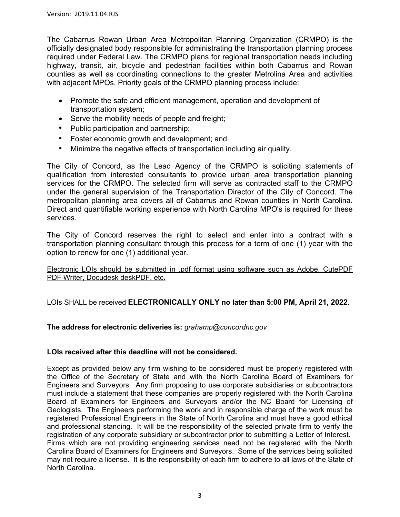The Cabarrus Rowan Urban Area Metropolitan Planning Organization (CRMPO) is the officially designated body responsible for administrating the transportation planning process required under Federal Law. The CRMPO plans for regional transportation needs including highway, transit, air, bicycle and pedestrian facilities within both Cabarrus and Rowan counties as well as coordinating connections to the greater Metrolina Area and activities with adjacent MPOs. Priority goals of the CRMPO planning process include:

- Promote the safe and efficient management, operation and development of transportation system;
- Serve the mobility needs of people and freight;
- Public participation and partnership;
- Foster economic growth and development; and
- Minimize the negative effects of transportation including air quality.

The City of Concord, as the Lead Agency of the CRMPO is soliciting statements of qualification from interested consultants to provide urban area transportation planning services for the CRMPO. The selected firm will serve as contracted staff to the CRMPO under the general supervision of the Transportation Director of the City of Concord. The metropolitan planning area covers all of Cabarrus and Rowan counties in North Carolina. Direct and quantifiable working experience with North Carolina MPO's is required for these services.

The City of Concord reserves the right to select and enter into a contract with a transportation planning consultant through this process for a term of one (1) year with the option to renew for one (1) additional year.

Electronic LOIs should be submitted in .pdf format using software such as Adobe, CutePDF PDF Writer, Docudesk deskPDF, etc.

LOIs SHALL be received **ELECTRONICALLY ONLY no later than 5:00 PM, April 21, 2022.** 

**The address for electronic deliveries is:** *grahamp@concordnc.gov*

#### **LOIs received after this deadline will not be considered.**

Except as provided below any firm wishing to be considered must be properly registered with the Office of the Secretary of State and with the North Carolina Board of Examiners for Engineers and Surveyors. Any firm proposing to use corporate subsidiaries or subcontractors must include a statement that these companies are properly registered with the North Carolina Board of Examiners for Engineers and Surveyors and/or the NC Board for Licensing of Geologists. The Engineers performing the work and in responsible charge of the work must be registered Professional Engineers in the State of North Carolina and must have a good ethical and professional standing. It will be the responsibility of the selected private firm to verify the registration of any corporate subsidiary or subcontractor prior to submitting a Letter of Interest. Firms which are not providing engineering services need not be registered with the North Carolina Board of Examiners for Engineers and Surveyors. Some of the services being solicited may not require a license. It is the responsibility of each firm to adhere to all laws of the State of North Carolina.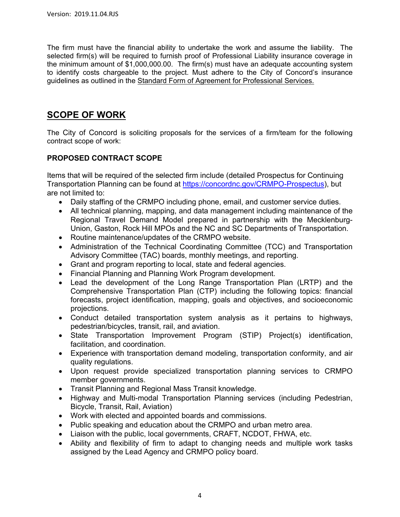The firm must have the financial ability to undertake the work and assume the liability. The selected firm(s) will be required to furnish proof of Professional Liability insurance coverage in the minimum amount of \$1,000,000.00. The firm(s) must have an adequate accounting system to identify costs chargeable to the project. Must adhere to the City of Concord's insurance guidelines as outlined in the Standard Form of Agreement for Professional Services.

### **SCOPE OF WORK**

The City of Concord is soliciting proposals for the services of a firm/team for the following contract scope of work:

### **PROPOSED CONTRACT SCOPE**

Items that will be required of the selected firm include (detailed Prospectus for Continuing Transportation Planning can be found at https://concordnc.gov/CRMPO-Prospectus), but are not limited to:

- Daily staffing of the CRMPO including phone, email, and customer service duties.
- All technical planning, mapping, and data management including maintenance of the Regional Travel Demand Model prepared in partnership with the Mecklenburg-Union, Gaston, Rock Hill MPOs and the NC and SC Departments of Transportation.
- Routine maintenance/updates of the CRMPO website.
- Administration of the Technical Coordinating Committee (TCC) and Transportation Advisory Committee (TAC) boards, monthly meetings, and reporting.
- Grant and program reporting to local, state and federal agencies.
- Financial Planning and Planning Work Program development.
- Lead the development of the Long Range Transportation Plan (LRTP) and the Comprehensive Transportation Plan (CTP) including the following topics: financial forecasts, project identification, mapping, goals and objectives, and socioeconomic projections.
- Conduct detailed transportation system analysis as it pertains to highways, pedestrian/bicycles, transit, rail, and aviation.
- State Transportation Improvement Program (STIP) Project(s) identification, facilitation, and coordination.
- Experience with transportation demand modeling, transportation conformity, and air quality regulations.
- Upon request provide specialized transportation planning services to CRMPO member governments.
- Transit Planning and Regional Mass Transit knowledge.
- Highway and Multi-modal Transportation Planning services (including Pedestrian, Bicycle, Transit, Rail, Aviation)
- Work with elected and appointed boards and commissions.
- Public speaking and education about the CRMPO and urban metro area.
- Liaison with the public, local governments, CRAFT, NCDOT, FHWA, etc.
- Ability and flexibility of firm to adapt to changing needs and multiple work tasks assigned by the Lead Agency and CRMPO policy board.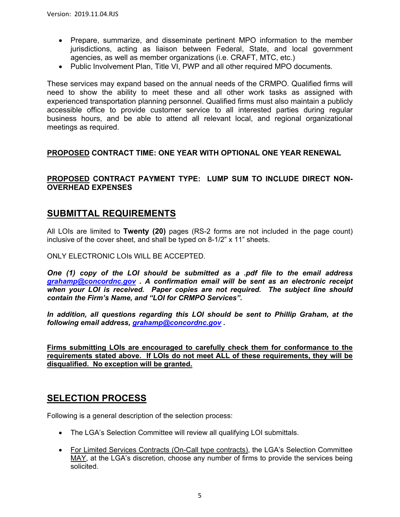- Prepare, summarize, and disseminate pertinent MPO information to the member jurisdictions, acting as liaison between Federal, State, and local government agencies, as well as member organizations (i.e. CRAFT, MTC, etc.)
- Public Involvement Plan, Title VI, PWP and all other required MPO documents.

These services may expand based on the annual needs of the CRMPO. Qualified firms will need to show the ability to meet these and all other work tasks as assigned with experienced transportation planning personnel. Qualified firms must also maintain a publicly accessible office to provide customer service to all interested parties during regular business hours, and be able to attend all relevant local, and regional organizational meetings as required.

#### **PROPOSED CONTRACT TIME: ONE YEAR WITH OPTIONAL ONE YEAR RENEWAL**

### **PROPOSED CONTRACT PAYMENT TYPE: LUMP SUM TO INCLUDE DIRECT NON-OVERHEAD EXPENSES**

### **SUBMITTAL REQUIREMENTS**

All LOIs are limited to **Twenty (20)** pages (RS-2 forms are not included in the page count) inclusive of the cover sheet, and shall be typed on 8-1/2" x 11" sheets.

ONLY ELECTRONIC LOIs WILL BE ACCEPTED.

*One (1) copy of the LOI should be submitted as a .pdf file to the email address grahamp@concordnc.gov . A confirmation email will be sent as an electronic receipt when your LOI is received. Paper copies are not required. The subject line should contain the Firm's Name, and "LOI for CRMPO Services".* 

*In addition, all questions regarding this LOI should be sent to Phillip Graham, at the following email address, grahamp@concordnc.gov .*

**Firms submitting LOIs are encouraged to carefully check them for conformance to the requirements stated above. If LOIs do not meet ALL of these requirements, they will be disqualified. No exception will be granted.** 

### **SELECTION PROCESS**

Following is a general description of the selection process:

- The LGA's Selection Committee will review all qualifying LOI submittals.
- For Limited Services Contracts (On-Call type contracts), the LGA's Selection Committee MAY, at the LGA's discretion, choose any number of firms to provide the services being solicited.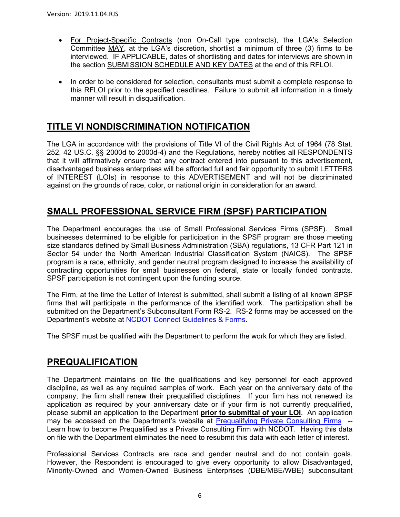- For Project-Specific Contracts (non On-Call type contracts), the LGA's Selection Committee MAY, at the LGA's discretion, shortlist a minimum of three (3) firms to be interviewed. IF APPLICABLE, dates of shortlisting and dates for interviews are shown in the section SUBMISSION SCHEDULE AND KEY DATES at the end of this RFLOI.
- In order to be considered for selection, consultants must submit a complete response to this RFLOI prior to the specified deadlines. Failure to submit all information in a timely manner will result in disqualification.

## **TITLE VI NONDISCRIMINATION NOTIFICATION**

The LGA in accordance with the provisions of Title VI of the Civil Rights Act of 1964 (78 Stat. 252, 42 US.C. §§ 2000d to 2000d-4) and the Regulations, hereby notifies all RESPONDENTS that it will affirmatively ensure that any contract entered into pursuant to this advertisement, disadvantaged business enterprises will be afforded full and fair opportunity to submit LETTERS of INTEREST (LOIs) in response to this ADVERTISEMENT and will not be discriminated against on the grounds of race, color, or national origin in consideration for an award.

## **SMALL PROFESSIONAL SERVICE FIRM (SPSF) PARTICIPATION**

The Department encourages the use of Small Professional Services Firms (SPSF). Small businesses determined to be eligible for participation in the SPSF program are those meeting size standards defined by Small Business Administration (SBA) regulations, 13 CFR Part 121 in Sector 54 under the North American Industrial Classification System (NAICS). The SPSF program is a race, ethnicity, and gender neutral program designed to increase the availability of contracting opportunities for small businesses on federal, state or locally funded contracts. SPSF participation is not contingent upon the funding source.

The Firm, at the time the Letter of Interest is submitted, shall submit a listing of all known SPSF firms that will participate in the performance of the identified work. The participation shall be submitted on the Department's Subconsultant Form RS-2. RS-2 forms may be accessed on the Department's website at NCDOT Connect Guidelines & Forms.

The SPSF must be qualified with the Department to perform the work for which they are listed.

## **PREQUALIFICATION**

The Department maintains on file the qualifications and key personnel for each approved discipline, as well as any required samples of work. Each year on the anniversary date of the company, the firm shall renew their prequalified disciplines. If your firm has not renewed its application as required by your anniversary date or if your firm is not currently prequalified, please submit an application to the Department **prior to submittal of your LOI**. An application may be accessed on the Department's website at Prequalifying Private Consulting Firms -- Learn how to become Prequalified as a Private Consulting Firm with NCDOT. Having this data on file with the Department eliminates the need to resubmit this data with each letter of interest.

Professional Services Contracts are race and gender neutral and do not contain goals. However, the Respondent is encouraged to give every opportunity to allow Disadvantaged, Minority-Owned and Women-Owned Business Enterprises (DBE/MBE/WBE) subconsultant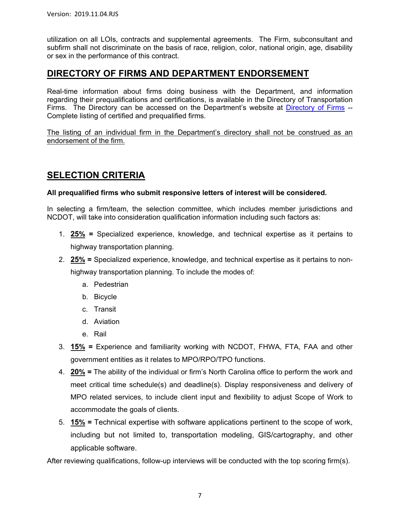utilization on all LOIs, contracts and supplemental agreements. The Firm, subconsultant and subfirm shall not discriminate on the basis of race, religion, color, national origin, age, disability or sex in the performance of this contract.

### **DIRECTORY OF FIRMS AND DEPARTMENT ENDORSEMENT**

Real-time information about firms doing business with the Department, and information regarding their prequalifications and certifications, is available in the Directory of Transportation Firms. The Directory can be accessed on the Department's website at Directory of Firms --Complete listing of certified and prequalified firms.

The listing of an individual firm in the Department's directory shall not be construed as an endorsement of the firm.

# **SELECTION CRITERIA**

#### **All prequalified firms who submit responsive letters of interest will be considered.**

In selecting a firm/team, the selection committee, which includes member jurisdictions and NCDOT, will take into consideration qualification information including such factors as:

- 1. **25% =** Specialized experience, knowledge, and technical expertise as it pertains to highway transportation planning.
- 2. **25% =** Specialized experience, knowledge, and technical expertise as it pertains to nonhighway transportation planning. To include the modes of:
	- a. Pedestrian
	- b. Bicycle
	- c. Transit
	- d. Aviation
	- e. Rail
- 3. **15% =** Experience and familiarity working with NCDOT, FHWA, FTA, FAA and other government entities as it relates to MPO/RPO/TPO functions.
- 4. **20% =** The ability of the individual or firm's North Carolina office to perform the work and meet critical time schedule(s) and deadline(s). Display responsiveness and delivery of MPO related services, to include client input and flexibility to adjust Scope of Work to accommodate the goals of clients.
- 5. **15% =** Technical expertise with software applications pertinent to the scope of work, including but not limited to, transportation modeling, GIS/cartography, and other applicable software.

After reviewing qualifications, follow-up interviews will be conducted with the top scoring firm(s).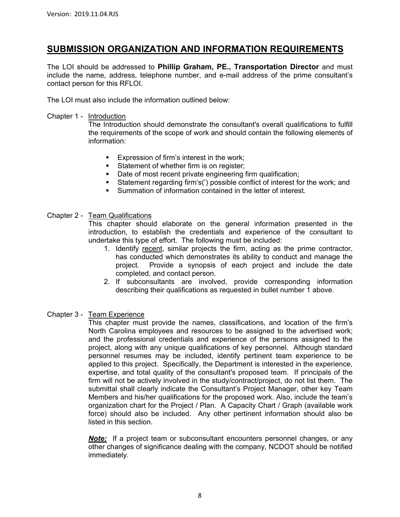### **SUBMISSION ORGANIZATION AND INFORMATION REQUIREMENTS**

The LOI should be addressed to **Phillip Graham, PE., Transportation Director** and must include the name, address, telephone number, and e-mail address of the prime consultant's contact person for this RFLOI.

The LOI must also include the information outlined below:

#### Chapter 1 - Introduction

The Introduction should demonstrate the consultant's overall qualifications to fulfill the requirements of the scope of work and should contain the following elements of information:

- Expression of firm's interest in the work;
- Statement of whether firm is on register:
- Date of most recent private engineering firm qualification;
- Statement regarding firm's(') possible conflict of interest for the work; and
- Summation of information contained in the letter of interest.

#### Chapter 2 - Team Qualifications

This chapter should elaborate on the general information presented in the introduction, to establish the credentials and experience of the consultant to undertake this type of effort. The following must be included:

- 1. Identify recent, similar projects the firm, acting as the prime contractor, has conducted which demonstrates its ability to conduct and manage the project. Provide a synopsis of each project and include the date completed, and contact person.
- 2. If subconsultants are involved, provide corresponding information describing their qualifications as requested in bullet number 1 above.

#### Chapter 3 - Team Experience

This chapter must provide the names, classifications, and location of the firm's North Carolina employees and resources to be assigned to the advertised work; and the professional credentials and experience of the persons assigned to the project, along with any unique qualifications of key personnel. Although standard personnel resumes may be included, identify pertinent team experience to be applied to this project. Specifically, the Department is interested in the experience, expertise, and total quality of the consultant's proposed team. If principals of the firm will not be actively involved in the study/contract/project, do not list them. The submittal shall clearly indicate the Consultant's Project Manager, other key Team Members and his/her qualifications for the proposed work. Also, include the team's organization chart for the Project / Plan. A Capacity Chart / Graph (available work force) should also be included. Any other pertinent information should also be listed in this section.

*Note:* If a project team or subconsultant encounters personnel changes, or any other changes of significance dealing with the company, NCDOT should be notified immediately.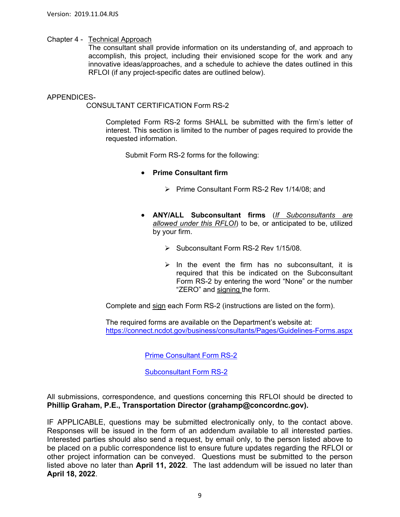#### Chapter 4 - Technical Approach

The consultant shall provide information on its understanding of, and approach to accomplish, this project, including their envisioned scope for the work and any innovative ideas/approaches, and a schedule to achieve the dates outlined in this RFLOI (if any project-specific dates are outlined below).

#### APPENDICES-

CONSULTANT CERTIFICATION Form RS-2

Completed Form RS-2 forms SHALL be submitted with the firm's letter of interest. This section is limited to the number of pages required to provide the requested information.

Submit Form RS-2 forms for the following:

- **Prime Consultant firm** 
	- $\triangleright$  Prime Consultant Form RS-2 Rev 1/14/08; and
- **ANY/ALL Subconsultant firms** (*If Subconsultants are allowed under this RFLOI*) to be, or anticipated to be, utilized by your firm.
	- $\triangleright$  Subconsultant Form RS-2 Rev 1/15/08.
	- $\triangleright$  In the event the firm has no subconsultant, it is required that this be indicated on the Subconsultant Form RS-2 by entering the word "None" or the number "ZERO" and signing the form.

Complete and sign each Form RS-2 (instructions are listed on the form).

 The required forms are available on the Department's website at: https://connect.ncdot.gov/business/consultants/Pages/Guidelines-Forms.aspx

Prime Consultant Form RS-2

Subconsultant Form RS-2

All submissions, correspondence, and questions concerning this RFLOI should be directed to **Phillip Graham, P.E., Transportation Director (grahamp@concordnc.gov).**

IF APPLICABLE, questions may be submitted electronically only, to the contact above. Responses will be issued in the form of an addendum available to all interested parties. Interested parties should also send a request, by email only, to the person listed above to be placed on a public correspondence list to ensure future updates regarding the RFLOI or other project information can be conveyed. Questions must be submitted to the person listed above no later than **April 11, 2022**. The last addendum will be issued no later than **April 18, 2022**.